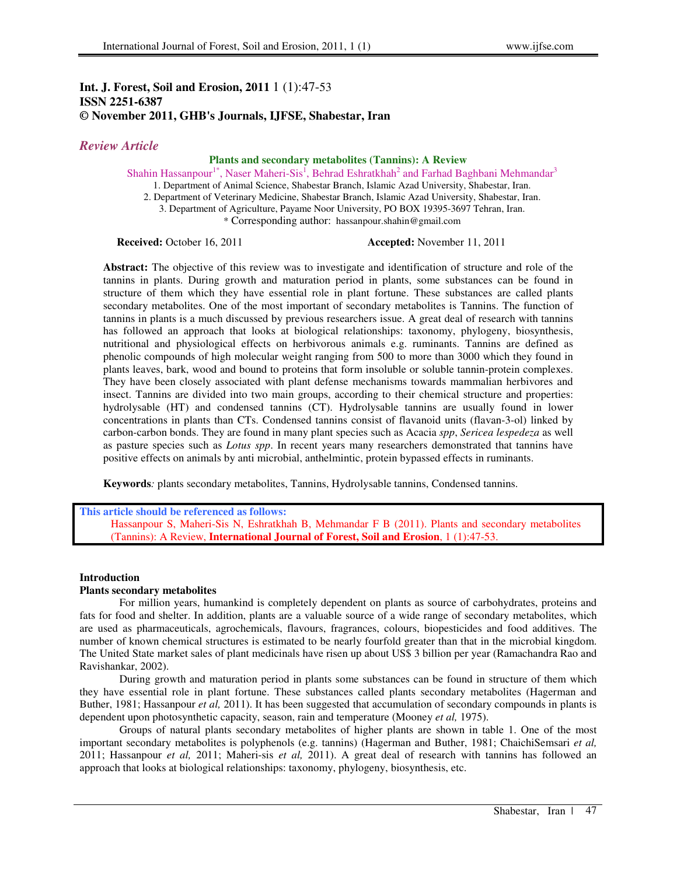# **Int. J. Forest, Soil and Erosion, 2011** 1 (1):47-53 **ISSN 2251-6387 © November 2011, GHB's Journals, IJFSE, Shabestar, Iran**

# *Review Article*

## **Plants and secondary metabolites (Tannins): A Review**

Shahin Hassanpour<sup>1\*</sup>, Naser Maheri-Sis<sup>1</sup>, Behrad Eshratkhah<sup>2</sup> and Farhad Baghbani Mehmandar<sup>3</sup>

1. Department of Animal Science, Shabestar Branch, Islamic Azad University, Shabestar, Iran.

2. Department of Veterinary Medicine, Shabestar Branch, Islamic Azad University, Shabestar, Iran.

3. Department of Agriculture, Payame Noor University, PO BOX 19395-3697 Tehran, Iran.

\* Corresponding author: hassanpour.shahin@gmail.com

### **Received:** October 16, 2011 **Accepted:** November 11, 2011

**Abstract:** The objective of this review was to investigate and identification of structure and role of the tannins in plants. During growth and maturation period in plants, some substances can be found in structure of them which they have essential role in plant fortune. These substances are called plants secondary metabolites. One of the most important of secondary metabolites is Tannins. The function of tannins in plants is a much discussed by previous researchers issue. A great deal of research with tannins has followed an approach that looks at biological relationships: taxonomy, phylogeny, biosynthesis, nutritional and physiological effects on herbivorous animals e.g. ruminants. Tannins are defined as phenolic compounds of high molecular weight ranging from 500 to more than 3000 which they found in plants leaves, bark, wood and bound to proteins that form insoluble or soluble tannin-protein complexes. They have been closely associated with plant defense mechanisms towards mammalian herbivores and insect. Tannins are divided into two main groups, according to their chemical structure and properties: hydrolysable (HT) and condensed tannins (CT). Hydrolysable tannins are usually found in lower concentrations in plants than CTs. Condensed tannins consist of flavanoid units (flavan-3-ol) linked by carbon-carbon bonds. They are found in many plant species such as Acacia *spp*, *Sericea lespedeza* as well as pasture species such as *Lotus spp*. In recent years many researchers demonstrated that tannins have positive effects on animals by anti microbial, anthelmintic, protein bypassed effects in ruminants.

**Keywords***:* plants secondary metabolites, Tannins, Hydrolysable tannins, Condensed tannins.

**This article should be referenced as follows:** 

Hassanpour S, Maheri-Sis N, Eshratkhah B, Mehmandar F B (2011). Plants and secondary metabolites (Tannins): A Review, **International Journal of Forest, Soil and Erosion**, 1 (1):47-53.

## **Introduction**

# **Plants secondary metabolites**

For million years, humankind is completely dependent on plants as source of carbohydrates, proteins and fats for food and shelter. In addition, plants are a valuable source of a wide range of secondary metabolites, which are used as pharmaceuticals, agrochemicals, flavours, fragrances, colours, biopesticides and food additives. The number of known chemical structures is estimated to be nearly fourfold greater than that in the microbial kingdom. The United State market sales of plant medicinals have risen up about US\$ 3 billion per year (Ramachandra Rao and Ravishankar, 2002).

During growth and maturation period in plants some substances can be found in structure of them which they have essential role in plant fortune. These substances called plants secondary metabolites (Hagerman and Buther, 1981; Hassanpour *et al,* 2011). It has been suggested that accumulation of secondary compounds in plants is dependent upon photosynthetic capacity, season, rain and temperature (Mooney *et al,* 1975).

Groups of natural plants secondary metabolites of higher plants are shown in table 1. One of the most important secondary metabolites is polyphenols (e.g. tannins) (Hagerman and Buther, 1981; ChaichiSemsari *et al,*  2011; Hassanpour *et al,* 2011; Maheri-sis *et al,* 2011). A great deal of research with tannins has followed an approach that looks at biological relationships: taxonomy, phylogeny, biosynthesis, etc.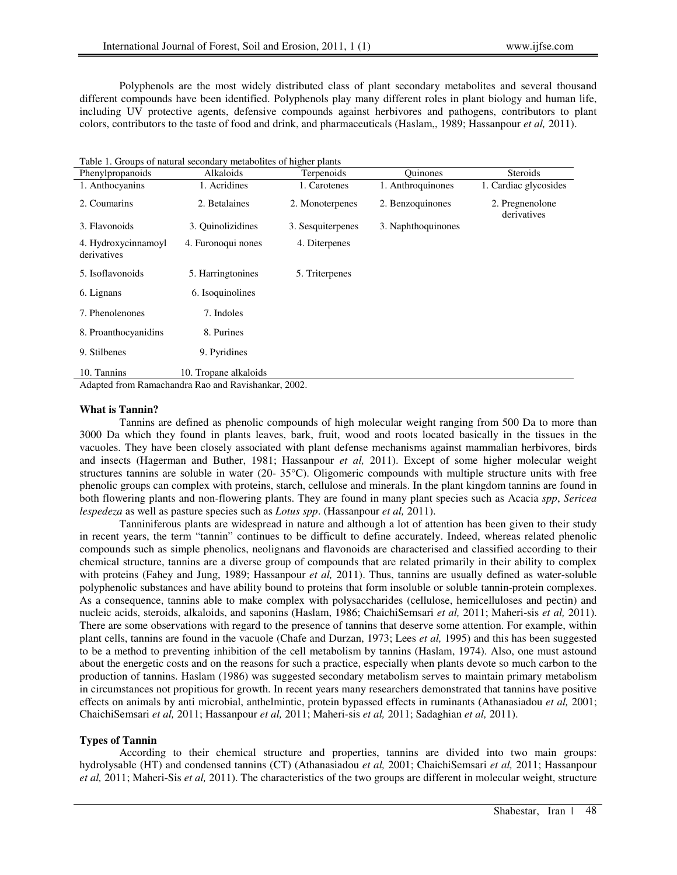Polyphenols are the most widely distributed class of plant secondary metabolites and several thousand different compounds have been identified. Polyphenols play many different roles in plant biology and human life, including UV protective agents, defensive compounds against herbivores and pathogens, contributors to plant colors, contributors to the taste of food and drink, and pharmaceuticals (Haslam,, 1989; Hassanpour *et al,* 2011).

| Table 1. Groups of natural secondary metabolites of higher plants |  |
|-------------------------------------------------------------------|--|
|                                                                   |  |

| Phenylpropanoids                                    | Alkaloids             | Terpenoids        | <b>Ouinones</b>    | <b>Steroids</b>                |  |
|-----------------------------------------------------|-----------------------|-------------------|--------------------|--------------------------------|--|
| 1. Anthocyanins                                     | 1. Acridines          | 1. Carotenes      | 1. Anthroquinones  | 1. Cardiac glycosides          |  |
| 2. Coumarins                                        | 2. Betalaines         | 2. Monoterpenes   | 2. Benzoquinones   | 2. Pregnenolone<br>derivatives |  |
| 3. Flavonoids                                       | 3. Ouinolizidines     | 3. Sesquiterpenes | 3. Naphthoquinones |                                |  |
| 4. Hydroxycinnamoyl<br>derivatives                  | 4. Furonoqui nones    | 4. Diterpenes     |                    |                                |  |
| 5. Isoflavonoids                                    | 5. Harringtonines     | 5. Triterpenes    |                    |                                |  |
| 6. Lignans                                          | 6. Isoquinolines      |                   |                    |                                |  |
| 7. Phenolenones                                     | 7. Indoles            |                   |                    |                                |  |
| 8. Proanthocyanidins                                | 8. Purines            |                   |                    |                                |  |
| 9. Stilbenes                                        | 9. Pyridines          |                   |                    |                                |  |
| 10. Tannins                                         | 10. Tropane alkaloids |                   |                    |                                |  |
| Adapted from Ramachandra Rao and Ravishankar, 2002. |                       |                   |                    |                                |  |

#### **What is Tannin?**

Tannins are defined as phenolic compounds of high molecular weight ranging from 500 Da to more than 3000 Da which they found in plants leaves, bark, fruit, wood and roots located basically in the tissues in the vacuoles. They have been closely associated with plant defense mechanisms against mammalian herbivores, birds and insects (Hagerman and Buther, 1981; Hassanpour *et al,* 2011). Except of some higher molecular weight structures tannins are soluble in water (20- 35°C). Oligomeric compounds with multiple structure units with free phenolic groups can complex with proteins, starch, cellulose and minerals. In the plant kingdom tannins are found in both flowering plants and non-flowering plants. They are found in many plant species such as Acacia *spp*, *Sericea lespedeza* as well as pasture species such as *Lotus spp*. (Hassanpour *et al,* 2011).

Tanniniferous plants are widespread in nature and although a lot of attention has been given to their study in recent years, the term "tannin" continues to be difficult to define accurately. Indeed, whereas related phenolic compounds such as simple phenolics, neolignans and flavonoids are characterised and classified according to their chemical structure, tannins are a diverse group of compounds that are related primarily in their ability to complex with proteins (Fahey and Jung, 1989; Hassanpour *et al,* 2011). Thus, tannins are usually defined as water-soluble polyphenolic substances and have ability bound to proteins that form insoluble or soluble tannin-protein complexes. As a consequence, tannins able to make complex with polysaccharides (cellulose, hemicelluloses and pectin) and nucleic acids, steroids, alkaloids, and saponins (Haslam, 1986; ChaichiSemsari *et al,* 2011; Maheri-sis *et al,* 2011). There are some observations with regard to the presence of tannins that deserve some attention. For example, within plant cells, tannins are found in the vacuole (Chafe and Durzan, 1973; Lees *et al,* 1995) and this has been suggested to be a method to preventing inhibition of the cell metabolism by tannins (Haslam, 1974). Also, one must astound about the energetic costs and on the reasons for such a practice, especially when plants devote so much carbon to the production of tannins. Haslam (1986) was suggested secondary metabolism serves to maintain primary metabolism in circumstances not propitious for growth. In recent years many researchers demonstrated that tannins have positive effects on animals by anti microbial, anthelmintic, protein bypassed effects in ruminants (Athanasiadou *et al,* 2001; ChaichiSemsari *et al,* 2011; Hassanpour *et al,* 2011; Maheri-sis *et al,* 2011; Sadaghian *et al,* 2011).

## **Types of Tannin**

According to their chemical structure and properties, tannins are divided into two main groups: hydrolysable (HT) and condensed tannins (CT) (Athanasiadou *et al,* 2001; ChaichiSemsari *et al,* 2011; Hassanpour *et al,* 2011; Maheri-Sis *et al,* 2011). The characteristics of the two groups are different in molecular weight, structure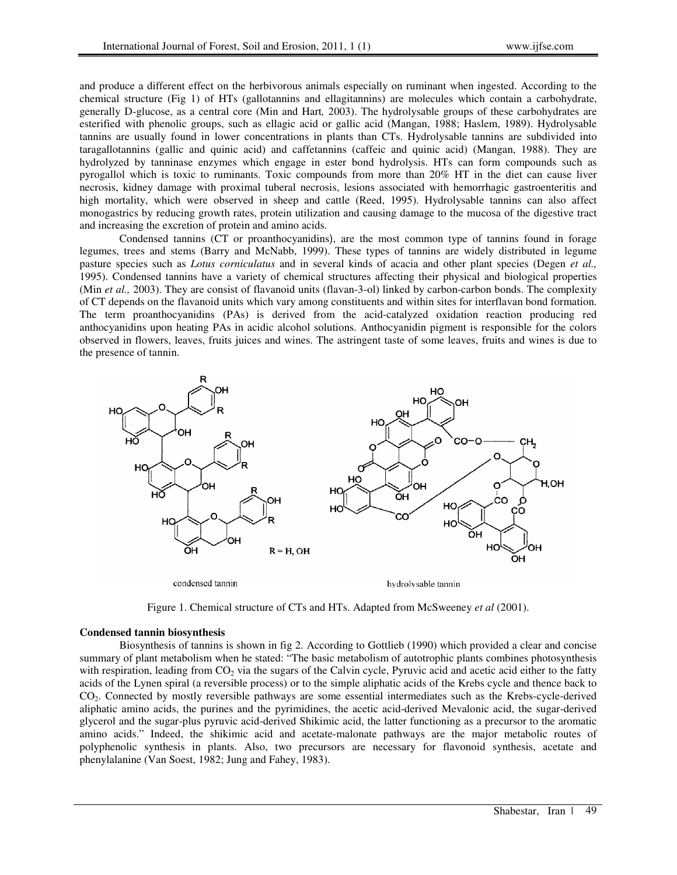and produce a different effect on the herbivorous animals especially on ruminant when ingested. According to the chemical structure (Fig 1) of HTs (gallotannins and ellagitannins) are molecules which contain a carbohydrate, generally D-glucose, as a central core (Min and Hart*,* 2003). The hydrolysable groups of these carbohydrates are esterified with phenolic groups, such as ellagic acid or gallic acid (Mangan, 1988; Haslem, 1989). Hydrolysable tannins are usually found in lower concentrations in plants than CTs. Hydrolysable tannins are subdivided into taragallotannins (gallic and quinic acid) and caffetannins (caffeic and quinic acid) (Mangan, 1988). They are hydrolyzed by tanninase enzymes which engage in ester bond hydrolysis. HTs can form compounds such as pyrogallol which is toxic to ruminants. Toxic compounds from more than 20% HT in the diet can cause liver necrosis, kidney damage with proximal tuberal necrosis, lesions associated with hemorrhagic gastroenteritis and high mortality, which were observed in sheep and cattle (Reed, 1995). Hydrolysable tannins can also affect monogastrics by reducing growth rates, protein utilization and causing damage to the mucosa of the digestive tract and increasing the excretion of protein and amino acids.

Condensed tannins (CT or proanthocyanidins), are the most common type of tannins found in forage legumes, trees and stems (Barry and McNabb, 1999). These types of tannins are widely distributed in legume pasture species such as *Lotus corniculatus* and in several kinds of acacia and other plant species (Degen *et al.,*  1995). Condensed tannins have a variety of chemical structures affecting their physical and biological properties (Min *et al.,* 2003). They are consist of flavanoid units (flavan-3-ol) linked by carbon-carbon bonds. The complexity of CT depends on the flavanoid units which vary among constituents and within sites for interflavan bond formation. The term proanthocyanidins (PAs) is derived from the acid-catalyzed oxidation reaction producing red anthocyanidins upon heating PAs in acidic alcohol solutions. Anthocyanidin pigment is responsible for the colors observed in flowers, leaves, fruits juices and wines. The astringent taste of some leaves, fruits and wines is due to the presence of tannin.



Figure 1. Chemical structure of CTs and HTs. Adapted from McSweeney *et al* (2001).

#### **Condensed tannin biosynthesis**

Biosynthesis of tannins is shown in fig 2. According to Gottlieb (1990) which provided a clear and concise summary of plant metabolism when he stated: "The basic metabolism of autotrophic plants combines photosynthesis with respiration, leading from  $CO<sub>2</sub>$  via the sugars of the Calvin cycle, Pyruvic acid and acetic acid either to the fatty acids of the Lynen spiral (a reversible process) or to the simple aliphatic acids of the Krebs cycle and thence back to CO2. Connected by mostly reversible pathways are some essential intermediates such as the Krebs-cycle-derived aliphatic amino acids, the purines and the pyrimidines, the acetic acid-derived Mevalonic acid, the sugar-derived glycerol and the sugar-plus pyruvic acid-derived Shikimic acid, the latter functioning as a precursor to the aromatic amino acids." Indeed, the shikimic acid and acetate-malonate pathways are the major metabolic routes of polyphenolic synthesis in plants. Also, two precursors are necessary for flavonoid synthesis, acetate and phenylalanine (Van Soest, 1982; Jung and Fahey, 1983).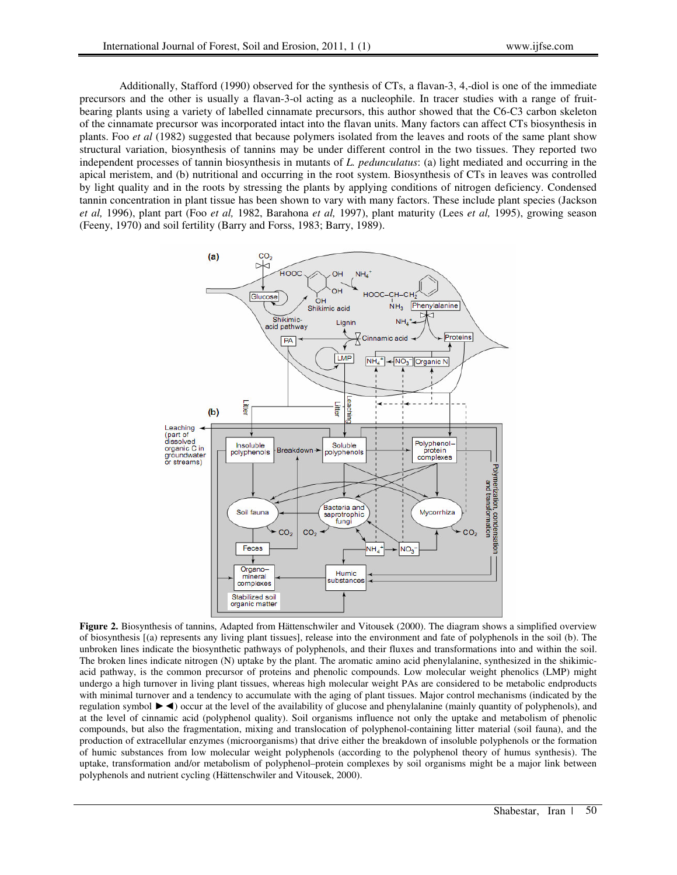Additionally, Stafford (1990) observed for the synthesis of CTs, a flavan-3, 4,-diol is one of the immediate precursors and the other is usually a flavan-3-ol acting as a nucleophile. In tracer studies with a range of fruitbearing plants using a variety of labelled cinnamate precursors, this author showed that the C6-C3 carbon skeleton of the cinnamate precursor was incorporated intact into the flavan units. Many factors can affect CTs biosynthesis in plants. Foo *et al* (1982) suggested that because polymers isolated from the leaves and roots of the same plant show structural variation, biosynthesis of tannins may be under different control in the two tissues. They reported two independent processes of tannin biosynthesis in mutants of *L. pedunculatus*: (a) light mediated and occurring in the apical meristem, and (b) nutritional and occurring in the root system. Biosynthesis of CTs in leaves was controlled by light quality and in the roots by stressing the plants by applying conditions of nitrogen deficiency. Condensed tannin concentration in plant tissue has been shown to vary with many factors. These include plant species (Jackson *et al,* 1996), plant part (Foo *et al,* 1982, Barahona *et al,* 1997), plant maturity (Lees *et al,* 1995), growing season (Feeny, 1970) and soil fertility (Barry and Forss, 1983; Barry, 1989).



**Figure 2.** Biosynthesis of tannins, Adapted from Hättenschwiler and Vitousek (2000). The diagram shows a simplified overview of biosynthesis [(a) represents any living plant tissues], release into the environment and fate of polyphenols in the soil (b). The unbroken lines indicate the biosynthetic pathways of polyphenols, and their fluxes and transformations into and within the soil. The broken lines indicate nitrogen (N) uptake by the plant. The aromatic amino acid phenylalanine, synthesized in the shikimicacid pathway, is the common precursor of proteins and phenolic compounds. Low molecular weight phenolics (LMP) might undergo a high turnover in living plant tissues, whereas high molecular weight PAs are considered to be metabolic endproducts with minimal turnover and a tendency to accumulate with the aging of plant tissues. Major control mechanisms (indicated by the regulation symbol ►◄) occur at the level of the availability of glucose and phenylalanine (mainly quantity of polyphenols), and at the level of cinnamic acid (polyphenol quality). Soil organisms influence not only the uptake and metabolism of phenolic compounds, but also the fragmentation, mixing and translocation of polyphenol-containing litter material (soil fauna), and the production of extracellular enzymes (microorganisms) that drive either the breakdown of insoluble polyphenols or the formation of humic substances from low molecular weight polyphenols (according to the polyphenol theory of humus synthesis). The uptake, transformation and/or metabolism of polyphenol–protein complexes by soil organisms might be a major link between polyphenols and nutrient cycling (Hättenschwiler and Vitousek, 2000).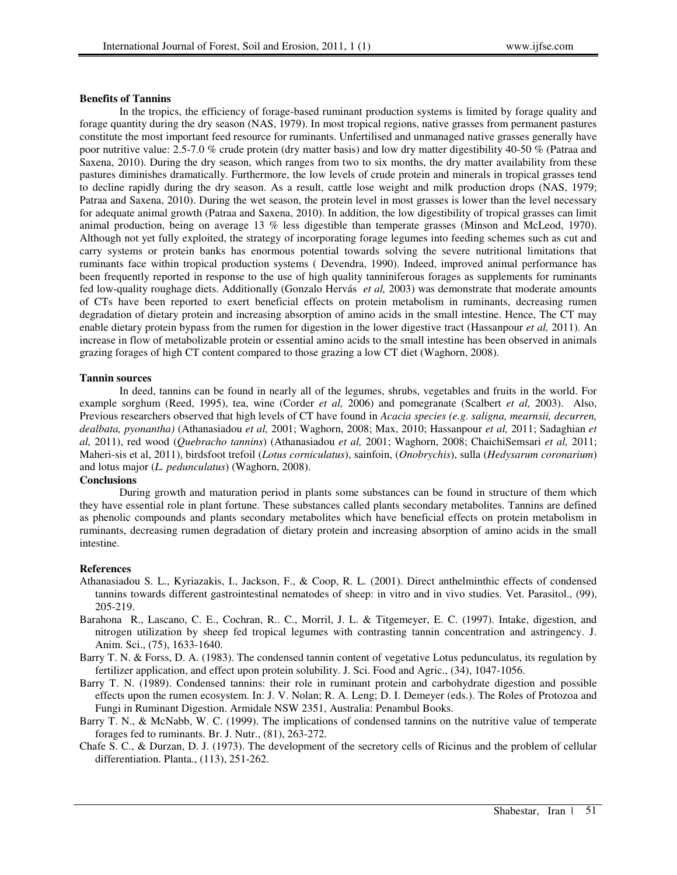### **Benefits of Tannins**

In the tropics, the efficiency of forage-based ruminant production systems is limited by forage quality and forage quantity during the dry season (NAS, 1979). In most tropical regions, native grasses from permanent pastures constitute the most important feed resource for ruminants. Unfertilised and unmanaged native grasses generally have poor nutritive value: 2.5-7.0 % crude protein (dry matter basis) and low dry matter digestibility 40-50 % (Patraa and Saxena, 2010). During the dry season, which ranges from two to six months, the dry matter availability from these pastures diminishes dramatically. Furthermore, the low levels of crude protein and minerals in tropical grasses tend to decline rapidly during the dry season. As a result, cattle lose weight and milk production drops (NAS, 1979; Patraa and Saxena, 2010). During the wet season, the protein level in most grasses is lower than the level necessary for adequate animal growth (Patraa and Saxena, 2010). In addition, the low digestibility of tropical grasses can limit animal production, being on average 13 % less digestible than temperate grasses (Minson and McLeod, 1970). Although not yet fully exploited, the strategy of incorporating forage legumes into feeding schemes such as cut and carry systems or protein banks has enormous potential towards solving the severe nutritional limitations that ruminants face within tropical production systems ( Devendra, 1990). Indeed, improved animal performance has been frequently reported in response to the use of high quality tanniniferous forages as supplements for ruminants fed low-quality roughage diets. Additionally (Gonzalo Hervás *et al,* 2003) was demonstrate that moderate amounts of CTs have been reported to exert beneficial effects on protein metabolism in ruminants, decreasing rumen degradation of dietary protein and increasing absorption of amino acids in the small intestine. Hence, The CT may enable dietary protein bypass from the rumen for digestion in the lower digestive tract (Hassanpour *et al,* 2011). An increase in flow of metabolizable protein or essential amino acids to the small intestine has been observed in animals grazing forages of high CT content compared to those grazing a low CT diet (Waghorn, 2008).

### **Tannin sources**

In deed, tannins can be found in nearly all of the legumes, shrubs, vegetables and fruits in the world. For example sorghum (Reed, 1995), tea, wine (Corder *et al,* 2006) and pomegranate (Scalbert *et al,* 2003). Also, Previous researchers observed that high levels of CT have found in *Acacia species (e.g. saligna, mearnsii, decurren, dealbata, pyonantha)* (Athanasiadou *et al,* 2001; Waghorn, 2008; Max, 2010; Hassanpour *et al,* 2011; Sadaghian *et al,* 2011), red wood (*Quebracho tannins*) (Athanasiadou *et al,* 2001; Waghorn, 2008; ChaichiSemsari *et al,* 2011; Maheri-sis et al, 2011), birdsfoot trefoil (*Lotus corniculatus*), sainfoin, (*Onobrychis*), sulla (*Hedysarum coronarium*) and lotus major (*L. pedunculatus*) (Waghorn, 2008).

## **Conclusions**

During growth and maturation period in plants some substances can be found in structure of them which they have essential role in plant fortune. These substances called plants secondary metabolites. Tannins are defined as phenolic compounds and plants secondary metabolites which have beneficial effects on protein metabolism in ruminants, decreasing rumen degradation of dietary protein and increasing absorption of amino acids in the small intestine.

#### **References**

- Athanasiadou S. L., Kyriazakis, I., Jackson, F., & Coop, R. L. (2001). Direct anthelminthic effects of condensed tannins towards different gastrointestinal nematodes of sheep: in vitro and in vivo studies. Vet. Parasitol., (99), 205-219.
- Barahona R., Lascano, C. E., Cochran, R.. C., Morril, J. L. & Titgemeyer, E. C. (1997). Intake, digestion, and nitrogen utilization by sheep fed tropical legumes with contrasting tannin concentration and astringency. J. Anim. Sci., (75), 1633-1640.
- Barry T. N. & Forss, D. A. (1983). The condensed tannin content of vegetative Lotus pedunculatus, its regulation by fertilizer application, and effect upon protein solubility. J. Sci. Food and Agric., (34), 1047-1056.
- Barry T. N. (1989). Condensed tannins: their role in ruminant protein and carbohydrate digestion and possible effects upon the rumen ecosystem. In: J. V. Nolan; R. A. Leng; D. I. Demeyer (eds.). The Roles of Protozoa and Fungi in Ruminant Digestion. Armidale NSW 2351, Australia: Penambul Books.
- Barry T. N., & McNabb, W. C. (1999). The implications of condensed tannins on the nutritive value of temperate forages fed to ruminants. Br. J. Nutr., (81), 263-272.
- Chafe S. C., & Durzan, D. J. (1973). The development of the secretory cells of Ricinus and the problem of cellular differentiation. Planta., (113), 251-262.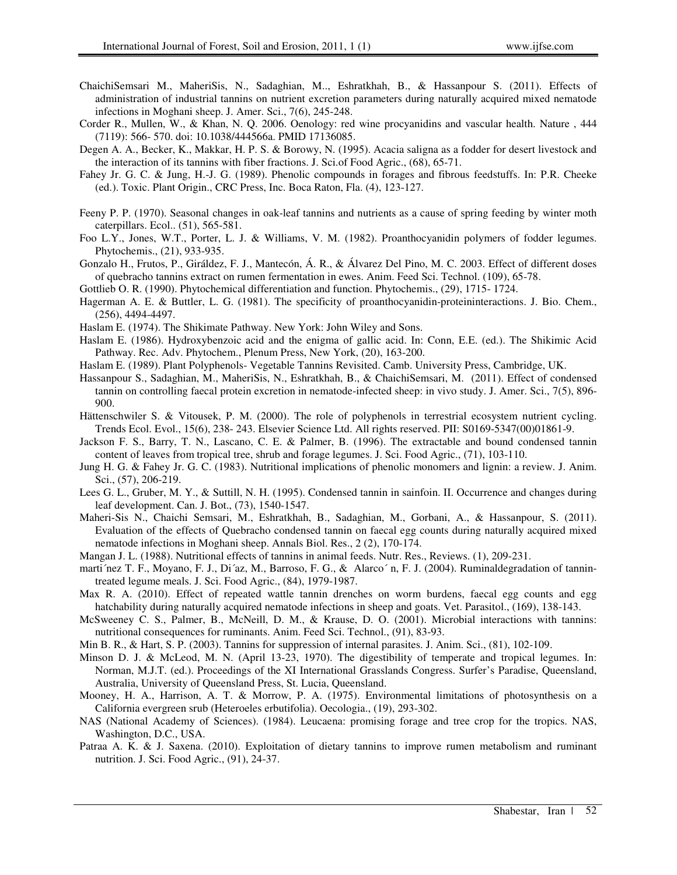- ChaichiSemsari M., MaheriSis, N., Sadaghian, M.., Eshratkhah, B., & Hassanpour S. (2011). Effects of administration of industrial tannins on nutrient excretion parameters during naturally acquired mixed nematode infections in Moghani sheep. J. Amer. Sci., 7(6), 245-248.
- Corder R., Mullen, W., & Khan, N. Q. 2006. Oenology: red wine procyanidins and vascular health. Nature , 444 (7119): 566- 570. doi: 10.1038/444566a. PMID 17136085.
- Degen A. A., Becker, K., Makkar, H. P. S. & Borowy, N. (1995). Acacia saligna as a fodder for desert livestock and the interaction of its tannins with fiber fractions. J. Sci.of Food Agric., (68), 65-71.
- Fahey Jr. G. C. & Jung, H.-J. G. (1989). Phenolic compounds in forages and fibrous feedstuffs. In: P.R. Cheeke (ed.). Toxic. Plant Origin., CRC Press, Inc. Boca Raton, Fla. (4), 123-127.
- Feeny P. P. (1970). Seasonal changes in oak-leaf tannins and nutrients as a cause of spring feeding by winter moth caterpillars. Ecol.. (51), 565-581.
- Foo L.Y., Jones, W.T., Porter, L. J. & Williams, V. M. (1982). Proanthocyanidin polymers of fodder legumes. Phytochemis., (21), 933-935.
- Gonzalo H., Frutos, P., Giráldez, F. J., Mantecón, Á. R., & Álvarez Del Pino, M. C. 2003. Effect of different doses of quebracho tannins extract on rumen fermentation in ewes. Anim. Feed Sci. Technol. (109), 65-78.
- Gottlieb O. R. (1990). Phytochemical differentiation and function. Phytochemis., (29), 1715- 1724.
- Hagerman A. E. & Buttler, L. G. (1981). The specificity of proanthocyanidin-proteininteractions. J. Bio. Chem., (256), 4494-4497.
- Haslam E. (1974). The Shikimate Pathway. New York: John Wiley and Sons.
- Haslam E. (1986). Hydroxybenzoic acid and the enigma of gallic acid. In: Conn, E.E. (ed.). The Shikimic Acid Pathway. Rec. Adv. Phytochem., Plenum Press, New York, (20), 163-200.
- Haslam E. (1989). Plant Polyphenols- Vegetable Tannins Revisited. Camb. University Press, Cambridge, UK.
- Hassanpour S., Sadaghian, M., MaheriSis, N., Eshratkhah, B., & ChaichiSemsari, M. (2011). Effect of condensed tannin on controlling faecal protein excretion in nematode-infected sheep: in vivo study. J. Amer. Sci., 7(5), 896- 900.
- Hättenschwiler S. & Vitousek, P. M. (2000). The role of polyphenols in terrestrial ecosystem nutrient cycling. Trends Ecol. Evol., 15(6), 238- 243. Elsevier Science Ltd. All rights reserved. PII: S0169-5347(00)01861-9.
- Jackson F. S., Barry, T. N., Lascano, C. E. & Palmer, B. (1996). The extractable and bound condensed tannin content of leaves from tropical tree, shrub and forage legumes. J. Sci. Food Agric., (71), 103-110.
- Jung H. G. & Fahey Jr. G. C. (1983). Nutritional implications of phenolic monomers and lignin: a review. J. Anim. Sci., (57), 206-219.
- Lees G. L., Gruber, M. Y., & Suttill, N. H. (1995). Condensed tannin in sainfoin. II. Occurrence and changes during leaf development. Can. J. Bot., (73), 1540-1547.
- Maheri-Sis N., Chaichi Semsari, M., Eshratkhah, B., Sadaghian, M., Gorbani, A., & Hassanpour, S. (2011). Evaluation of the effects of Quebracho condensed tannin on faecal egg counts during naturally acquired mixed nematode infections in Moghani sheep. Annals Biol. Res., 2 (2), 170-174.
- Mangan J. L. (1988). Nutritional effects of tannins in animal feeds. Nutr. Res., Reviews. (1), 209-231.
- marti'nez T. F., Moyano, F. J., Di'az, M., Barroso, F. G., & Alarco'n, F. J. (2004). Ruminaldegradation of tannintreated legume meals. J. Sci. Food Agric., (84), 1979-1987.
- Max R. A. (2010). Effect of repeated wattle tannin drenches on worm burdens, faecal egg counts and egg hatchability during naturally acquired nematode infections in sheep and goats. Vet. Parasitol., (169), 138-143.
- McSweeney C. S., Palmer, B., McNeill, D. M., & Krause, D. O. (2001). Microbial interactions with tannins: nutritional consequences for ruminants. Anim. Feed Sci. Technol., (91), 83-93.
- Min B. R., & Hart, S. P. (2003). Tannins for suppression of internal parasites. J. Anim. Sci., (81), 102-109.
- Minson D. J. & McLeod, M. N. (April 13-23, 1970). The digestibility of temperate and tropical legumes. In: Norman, M.J.T. (ed.). Proceedings of the XI International Grasslands Congress. Surfer's Paradise, Queensland, Australia, University of Queensland Press, St. Lucia, Queensland.
- Mooney, H. A., Harrison, A. T. & Morrow, P. A. (1975). Environmental limitations of photosynthesis on a California evergreen srub (Heteroeles erbutifolia). Oecologia., (19), 293-302.
- NAS (National Academy of Sciences). (1984). Leucaena: promising forage and tree crop for the tropics. NAS, Washington, D.C., USA.
- Patraa A. K. & J. Saxena. (2010). Exploitation of dietary tannins to improve rumen metabolism and ruminant nutrition. J. Sci. Food Agric., (91), 24-37.